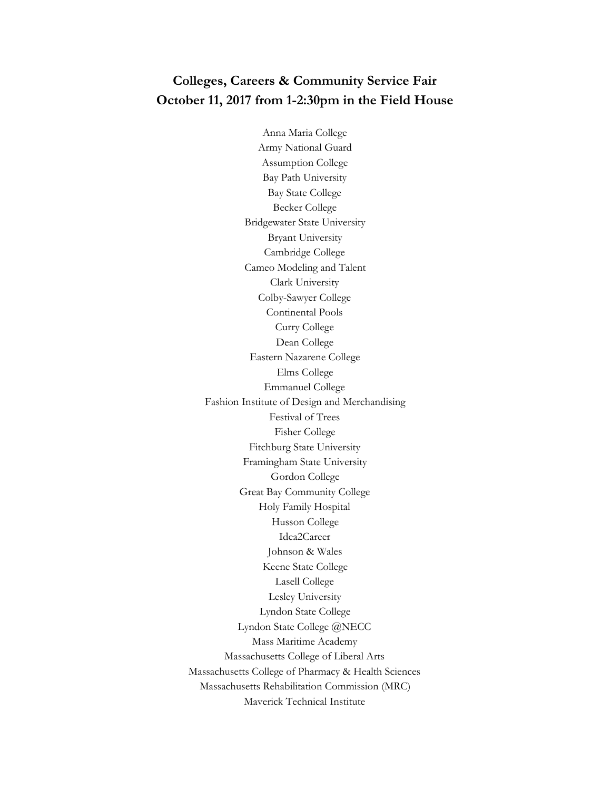## **Colleges, Careers & Community Service Fair October 11, 2017 from 1-2:30pm in the Field House**

Anna Maria College Army National Guard Assumption College Bay Path University Bay State College Becker College Bridgewater State University Bryant University Cambridge College Cameo Modeling and Talent Clark University Colby-Sawyer College Continental Pools Curry College Dean College Eastern Nazarene College Elms College Emmanuel College Fashion Institute of Design and Merchandising Festival of Trees Fisher College Fitchburg State University Framingham State University Gordon College Great Bay Community College Holy Family Hospital Husson College Idea2Career Johnson & Wales Keene State College Lasell College Lesley University Lyndon State College Lyndon State College @NECC Mass Maritime Academy Massachusetts College of Liberal Arts Massachusetts College of Pharmacy & Health Sciences Massachusetts Rehabilitation Commission (MRC) Maverick Technical Institute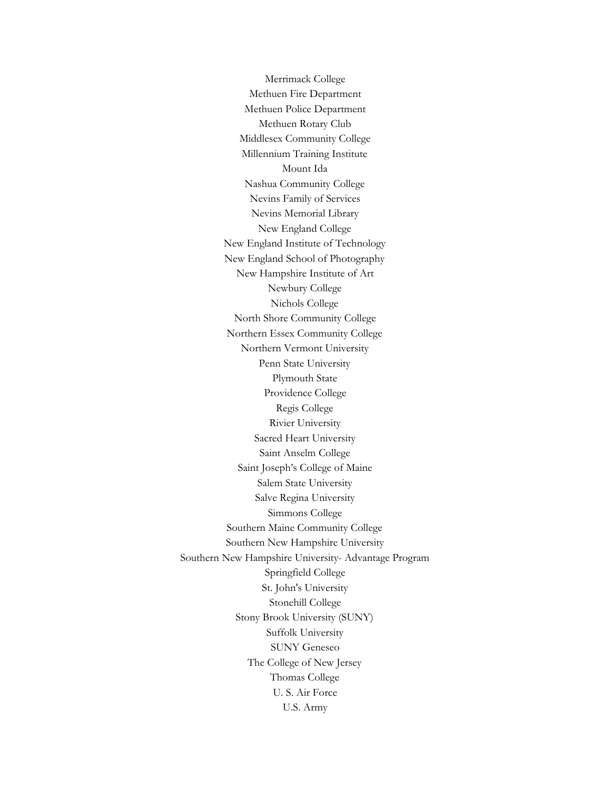Merrimack College Methuen Fire Department Methuen Police Department Methuen Rotary Club Middlesex Community College Millennium Training Institute Mount Ida Nashua Community College Nevins Family of Services Nevins Memorial Library New England College New England Institute of Technology New England School of Photography New Hampshire Institute of Art Newbury College Nichols College North Shore Community College Northern Essex Community College Northern Vermont University Penn State University Plymouth State Providence College Regis College Rivier University Sacred Heart University Saint Anselm College Saint Joseph's College of Maine Salem State University Salve Regina University Simmons College Southern Maine Community College Southern New Hampshire University Southern New Hampshire University- Advantage Program Springfield College St. John's University Stonehill College Stony Brook University (SUNY) Suffolk University SUNY Geneseo The College of New Jersey Thomas College U. S. Air Force U.S. Army